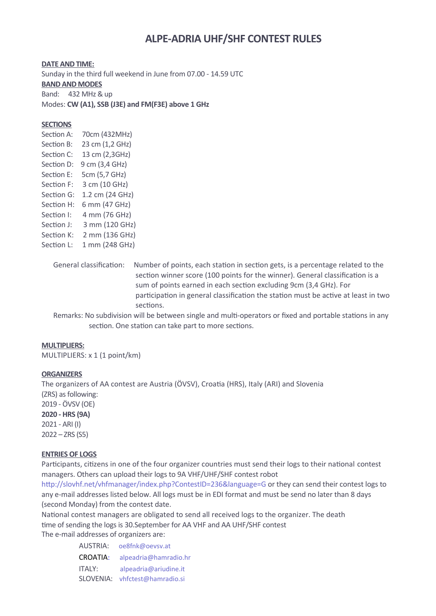# **ALPE-ADRIA UHF/SHF CONTEST RULES**

**DATE AND TIME:** Sunday in the third full weekend in June from 07.00 - 14.59 UTC **BAND AND MODES** Band: 432 MHz & up Modes: **CW (A1), SSB (J3E) and FM(F3E) above 1 GHz** 

### **SECTIONS**

Section A: 70cm (432MHz) Section B: 23 cm (1,2 GHz) Section C: 13 cm (2,3GHz) Section D: 9 cm (3,4 GHz) Section E: 5cm (5,7 GHz) Section F: 3 cm (10 GHz) Section G: 1.2 cm (24 GHz) Section H: 6 mm (47 GHz) Section I: 4 mm (76 GHz) Section J: 3 mm (120 GHz) Section K: 2 mm (136 GHz) Section L: 1 mm (248 GHz)

> General classification: Number of points, each station in section gets, is a percentage related to the section winner score (100 points for the winner). General classification is a sum of points earned in each section excluding 9cm (3,4 GHz). For participation in general classification the station must be active at least in two sections.

> Remarks: No subdivision will be between single and multi-operators or fixed and portable stations in any section. One station can take part to more sections.

#### **MULTIPLIERS:**

MULTIPLIERS: x 1 (1 point/km)

#### **ORGANIZERS**

The organizers of AA contest are Austria (ÖVSV), Croatia (HRS), Italy (ARI) and Slovenia (ZRS) as following: 2019 - ÖVSV (OE) **2020 - HRS (9A)** 2021 - ARI (I) 2022 – ZRS (S5)

#### **ENTRIES OF LOGS**

Participants, citizens in one of the four organizer countries must send their logs to their national contest managers. Others can upload their logs to 9A VHF/UHF/SHF contest robot

<http://slovhf.net/vhfmanager/index.php?ContestID=236&language=G> or they can send their contest logs to any e-mail addresses listed below. All logs must be in EDI format and must be send no later than 8 days (second Monday) from the contest date.

National contest managers are obligated to send all received logs to the organizer. The death time of sending the logs is 30.September for AA VHF and AA UHF/SHF contest

The e-mail addresses of organizers are:

AUSTRIA: [oe8fnk@oevsv.at](mailto:oe8fnk@oevsv.at) CROATIA: [alpeadria@hamradio.hr](mailto:alpeadria@hamradio.hr) ITALY: [alpeadria@ariudine.it](mailto:alpeadria@ariudine.it) SLOVENIA: [vhfctest@hamradio.si](mailto:vhfctest@hamradio.si)